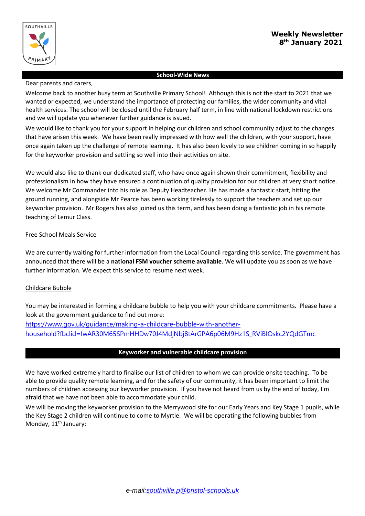

### **School-Wide News**

#### Dear parents and carers,

Welcome back to another busy term at Southville Primary School! Although this is not the start to 2021 that we wanted or expected, we understand the importance of protecting our families, the wider community and vital health services. The school will be closed until the February half term, in line with national lockdown restrictions and we will update you whenever further guidance is issued.

We would like to thank you for your support in helping our children and school community adjust to the changes that have arisen this week. We have been really impressed with how well the children, with your support, have once again taken up the challenge of remote learning. It has also been lovely to see children coming in so happily for the keyworker provision and settling so well into their activities on site.

We would also like to thank our dedicated staff, who have once again shown their commitment, flexibility and professionalism in how they have ensured a continuation of quality provision for our children at very short notice. We welcome Mr Commander into his role as Deputy Headteacher. He has made a fantastic start, hitting the ground running, and alongside Mr Pearce has been working tirelessly to support the teachers and set up our keyworker provision. Mr Rogers has also joined us this term, and has been doing a fantastic job in his remote teaching of Lemur Class.

### Free School Meals Service

We are currently waiting for further information from the Local Council regarding this service. The government has announced that there will be a **national FSM voucher scheme available**. We will update you as soon as we have further information. We expect this service to resume next week.

### Childcare Bubble

You may be interested in forming a childcare bubble to help you with your childcare commitments. Please have a look at the government guidance to find out more:

[https://www.gov.uk/guidance/making-a-childcare-bubble-with-another](https://www.gov.uk/guidance/making-a-childcare-bubble-with-another-household?fbclid=IwAR30M65SPmHHDw70J4MdjNbj8tArGPA6p06M9Hz1S_RViBIOskc2YQdGTmc)[household?fbclid=IwAR30M65SPmHHDw70J4MdjNbj8tArGPA6p06M9Hz1S\\_RViBIOskc2YQdGTmc](https://www.gov.uk/guidance/making-a-childcare-bubble-with-another-household?fbclid=IwAR30M65SPmHHDw70J4MdjNbj8tArGPA6p06M9Hz1S_RViBIOskc2YQdGTmc)

### **Keyworker and vulnerable childcare provision**

We have worked extremely hard to finalise our list of children to whom we can provide onsite teaching. To be able to provide quality remote learning, and for the safety of our community, it has been important to limit the numbers of children accessing our keyworker provision. If you have not heard from us by the end of today, I'm afraid that we have not been able to accommodate your child.

We will be moving the keyworker provision to the Merrywood site for our Early Years and Key Stage 1 pupils, while the Key Stage 2 children will continue to come to Myrtle. We will be operating the following bubbles from Monday, 11<sup>th</sup> January: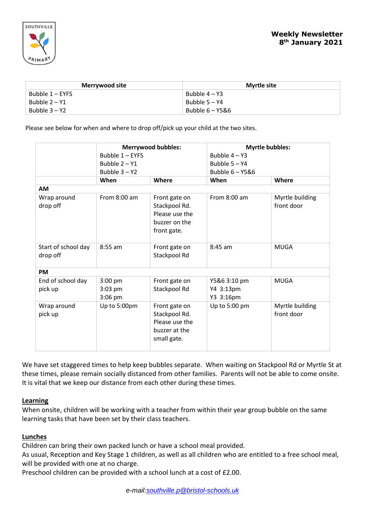

| Merrywood site    | <b>Myrtle site</b> |  |
|-------------------|--------------------|--|
| Bubble $1 - EYFS$ | Bubble $4 - Y3$    |  |
| Bubble 2 – Y1     | Bubble 5 – Y4      |  |
| Bubble $3 - Y2$   | Bubble 6 – Y5&6    |  |

Please see below for when and where to drop off/pick up your child at the two sites.

|                                 | <b>Merrywood bubbles:</b>           |                                                                                  | <b>Myrtle bubbles:</b>                 |                               |  |
|---------------------------------|-------------------------------------|----------------------------------------------------------------------------------|----------------------------------------|-------------------------------|--|
|                                 | Bubble 1 - EYES                     |                                                                                  | Bubble $4 - Y3$                        |                               |  |
|                                 | Bubble $2 - Y1$                     |                                                                                  | Bubble 5 - Y4                          |                               |  |
|                                 | Bubble $3 - Y2$                     |                                                                                  | Bubble $6 - Y586$                      |                               |  |
|                                 | When                                | Where                                                                            | When                                   | Where                         |  |
| <b>AM</b>                       |                                     |                                                                                  |                                        |                               |  |
| Wrap around<br>drop off         | From $8:00$ am                      | Front gate on<br>Stackpool Rd.<br>Please use the<br>buzzer on the<br>front gate. | From 8:00 am                           | Myrtle building<br>front door |  |
| Start of school day<br>drop off | $8:55$ am                           | Front gate on<br>Stackpool Rd                                                    | $8:45$ am                              | <b>MUGA</b>                   |  |
| <b>PM</b>                       |                                     |                                                                                  |                                        |                               |  |
| End of school day<br>pick up    | $3:00$ pm<br>$3:03$ pm<br>$3:06$ pm | Front gate on<br>Stackpool Rd                                                    | Y5&6 3:10 pm<br>Y4 3:13pm<br>Y3 3:16pm | <b>MUGA</b>                   |  |
| Wrap around<br>pick up          | Up to 5:00pm                        | Front gate on<br>Stackpool Rd.<br>Please use the<br>buzzer at the<br>small gate. | Up to 5:00 pm                          | Myrtle building<br>front door |  |

We have set staggered times to help keep bubbles separate. When waiting on Stackpool Rd or Myrtle St at these times, please remain socially distanced from other families. Parents will not be able to come onsite. It is vital that we keep our distance from each other during these times.

## **Learning**

When onsite, children will be working with a teacher from within their year group bubble on the same learning tasks that have been set by their class teachers.

## **Lunches**

Children can bring their own packed lunch or have a school meal provided.

As usual, Reception and Key Stage 1 children, as well as all children who are entitled to a free school meal, will be provided with one at no charge.

Preschool children can be provided with a school lunch at a cost of £2.00.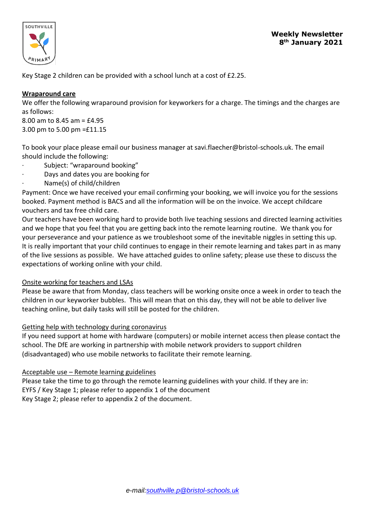

Key Stage 2 children can be provided with a school lunch at a cost of £2.25.

## **Wraparound care**

We offer the following wraparound provision for keyworkers for a charge. The timings and the charges are as follows:

8.00 am to 8.45 am = £4.95 3.00 pm to 5.00 pm =£11.15

To book your place please email our business manager at savi.flaecher@bristol-schools.uk. The email should include the following:

- Subject: "wraparound booking"
- · Days and dates you are booking for
- · Name(s) of child/children

Payment: Once we have received your email confirming your booking, we will invoice you for the sessions booked. Payment method is BACS and all the information will be on the invoice. We accept childcare vouchers and tax free child care.

Our teachers have been working hard to provide both live teaching sessions and directed learning activities and we hope that you feel that you are getting back into the remote learning routine. We thank you for your perseverance and your patience as we troubleshoot some of the inevitable niggles in setting this up. It is really important that your child continues to engage in their remote learning and takes part in as many of the live sessions as possible. We have attached guides to online safety; please use these to discuss the expectations of working online with your child.

# Onsite working for teachers and LSAs

Please be aware that from Monday, class teachers will be working onsite once a week in order to teach the children in our keyworker bubbles. This will mean that on this day, they will not be able to deliver live teaching online, but daily tasks will still be posted for the children.

# Getting help with technology during coronavirus

If you need support at home with hardware (computers) or mobile internet access then please contact the school. The DfE are working in partnership with mobile network providers to support children (disadvantaged) who use mobile networks to facilitate their remote learning.

# Acceptable use – Remote learning guidelines

Please take the time to go through the remote learning guidelines with your child. If they are in: EYFS / Key Stage 1; please refer to appendix 1 of the document Key Stage 2; please refer to appendix 2 of the document.